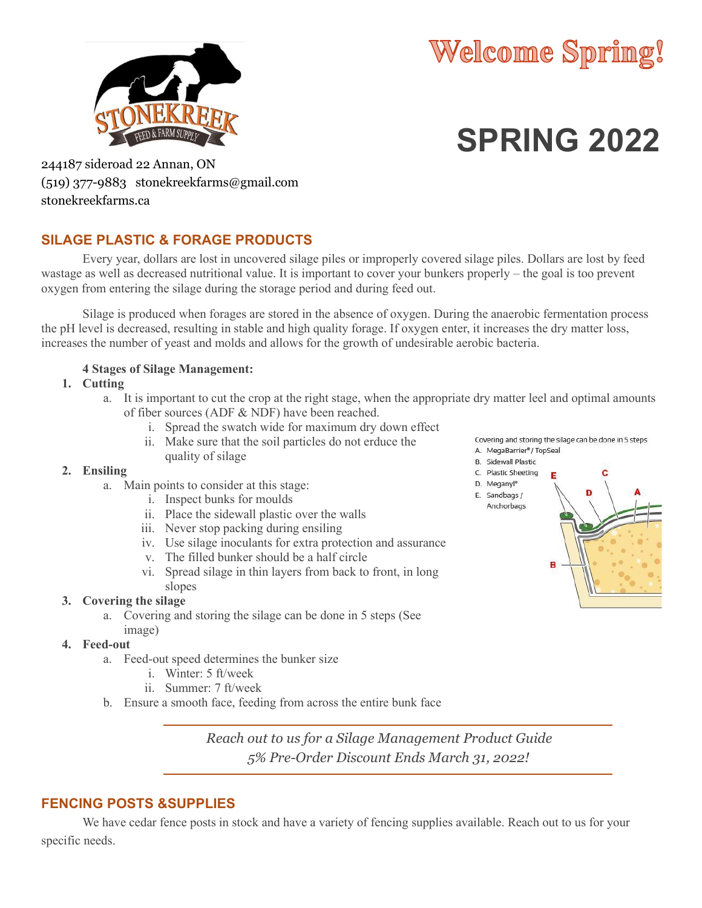



# **SPRING 2022**

244187 sideroad 22 Annan, ON (519) 377-9883 stonekreekfarms@gmail.com stonekreekfarms.ca

## **SILAGE PLASTIC & FORAGE PRODUCTS**

Every year, dollars are lost in uncovered silage piles or improperly covered silage piles. Dollars are lost by feed wastage as well as decreased nutritional value. It is important to cover your bunkers properly – the goal is too prevent oxygen from entering the silage during the storage period and during feed out.

Silage is produced when forages are stored in the absence of oxygen. During the anaerobic fermentation process the pH level is decreased, resulting in stable and high quality forage. If oxygen enter, it increases the dry matter loss, increases the number of yeast and molds and allows for the growth of undesirable aerobic bacteria.

### **4 Stages of Silage Management:**

**1. Cutting**

- a. It is important to cut the crop at the right stage, when the appropriate dry matter leel and optimal amounts of fiber sources (ADF & NDF) have been reached.
	- i. Spread the swatch wide for maximum dry down effect
	- ii. Make sure that the soil particles do not erduce the quality of silage

#### **2. Ensiling**

- a. Main points to consider at this stage:
	- i. Inspect bunks for moulds
	- ii. Place the sidewall plastic over the walls
	- iii. Never stop packing during ensiling
	- iv. Use silage inoculants for extra protection and assurance
	- v. The filled bunker should be a half circle
	- vi. Spread silage in thin layers from back to front, in long slopes

#### **3. Covering the silage**

a. Covering and storing the silage can be done in 5 steps (See image)

#### **4. Feed-out**

- a. Feed-out speed determines the bunker size
	- i. Winter: 5 ft/week
	- ii. Summer: 7 ft/week
- b. Ensure a smooth face, feeding from across the entire bunk face

*Reach out to us for a Silage Management Product Guide 5% Pre-Order Discount Ends March 31, 2022!*

## **FENCING POSTS &SUPPLIES**

We have cedar fence posts in stock and have a variety of fencing supplies available. Reach out to us for your specific needs.

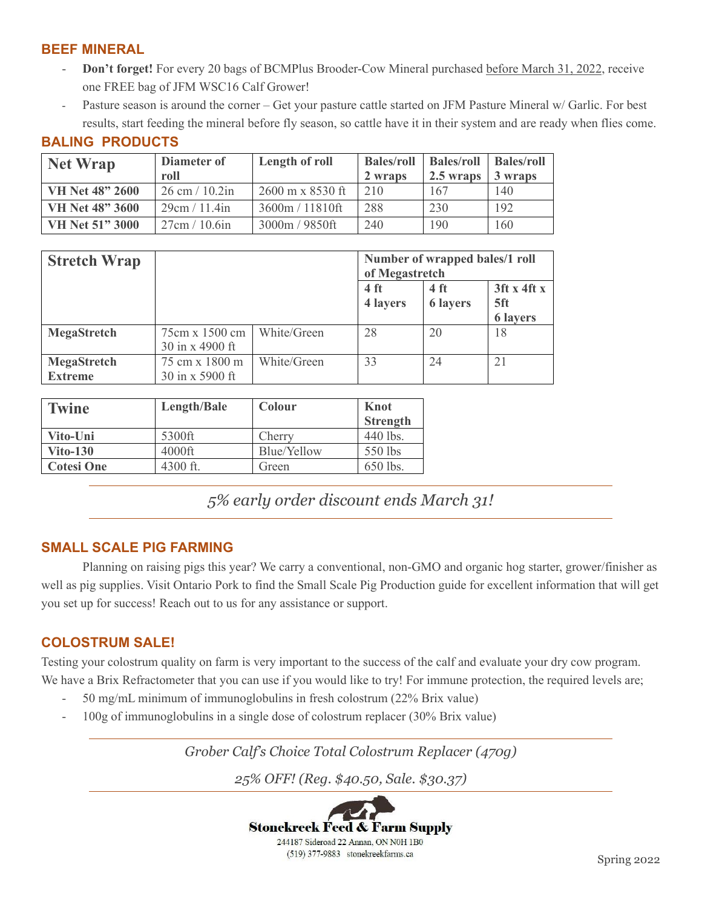## **BEEF MINERAL**

**BALING PRODUCTS**

- **Don't forget!** For every 20 bags of BCMPlus Brooder-Cow Mineral purchased before March 31, 2022, receive one FREE bag of JFM WSC16 Calf Grower!
- Pasture season is around the corner Get your pasture cattle started on JFM Pasture Mineral w/ Garlic. For best results, start feeding the mineral before fly season, so cattle have it in their system and are ready when flies come.

| <b>Net Wrap</b>        | Diameter of                      | Length of roll                          | <b>Bales/roll Bales/roll</b> |           | Bales/roll |
|------------------------|----------------------------------|-----------------------------------------|------------------------------|-----------|------------|
|                        | roll                             |                                         | 2 wraps                      | 2.5 wraps | 3 wraps    |
| <b>VH Net 48" 2600</b> | $26 \text{ cm} / 10.2 \text{in}$ | $2600 \text{ m} \times 8530 \text{ ft}$ | 210                          | 167       | 140        |
| <b>VH Net 48" 3600</b> | 29cm / 11.4in                    | 3600m / 11810ft                         | 288                          | 230       | 192        |
| VH Net 51" 3000        | 27cm / 10.6in                    | 3000m / 9850ft                          | 240                          | 190       | 160        |

| <b>Stretch Wrap</b> |                 |             | Number of wrapped bales/1 roll<br>of Megastretch |                 |                 |  |
|---------------------|-----------------|-------------|--------------------------------------------------|-----------------|-----------------|--|
|                     |                 |             | 4 <sub>ft</sub>                                  | 4 <sub>ft</sub> | $3$ ft x 4ft x  |  |
|                     |                 |             | 4 layers                                         | <b>6 layers</b> | 5ft             |  |
|                     |                 |             |                                                  |                 | <b>6 layers</b> |  |
| <b>MegaStretch</b>  | 75cm x 1500 cm  | White/Green | 28                                               | 20              | 18              |  |
|                     | 30 in x 4900 ft |             |                                                  |                 |                 |  |
| MegaStretch         | 75 cm x 1800 m  | White/Green | 33                                               | 24              | 21              |  |
| <b>Extreme</b>      | 30 in x 5900 ft |             |                                                  |                 |                 |  |

| <b>Twine</b>      | Length/Bale | Colour      | Knot            |
|-------------------|-------------|-------------|-----------------|
|                   |             |             | <b>Strength</b> |
| Vito-Uni          | 5300ft      | Cherry      | 440 lbs.        |
| $Vito-130$        | 4000ft      | Blue/Yellow | 550 lbs         |
| <b>Cotesi One</b> | 4300 ft.    | Green       | 650 lbs.        |

*5% early order discount ends March 31!*

## **SMALL SCALE PIG FARMING**

Planning on raising pigs this year? We carry a conventional, non-GMO and organic hog starter, grower/finisher as well as pig supplies. Visit Ontario Pork to find the Small Scale Pig Production guide for excellent information that will get you set up for success! Reach out to us for any assistance or support.

## **COLOSTRUM SALE!**

Testing your colostrum quality on farm is very important to the success of the calf and evaluate your dry cow program. We have a Brix Refractometer that you can use if you would like to try! For immune protection, the required levels are;

- 50 mg/mL minimum of immunoglobulins in fresh colostrum (22% Brix value)
- 100g of immunoglobulins in a single dose of colostrum replacer (30% Brix value)

*Grober Calf's Choice Total Colostrum Replacer (470g)*

*25% OFF! (Reg. \$40.50, Sale. \$30.37)*

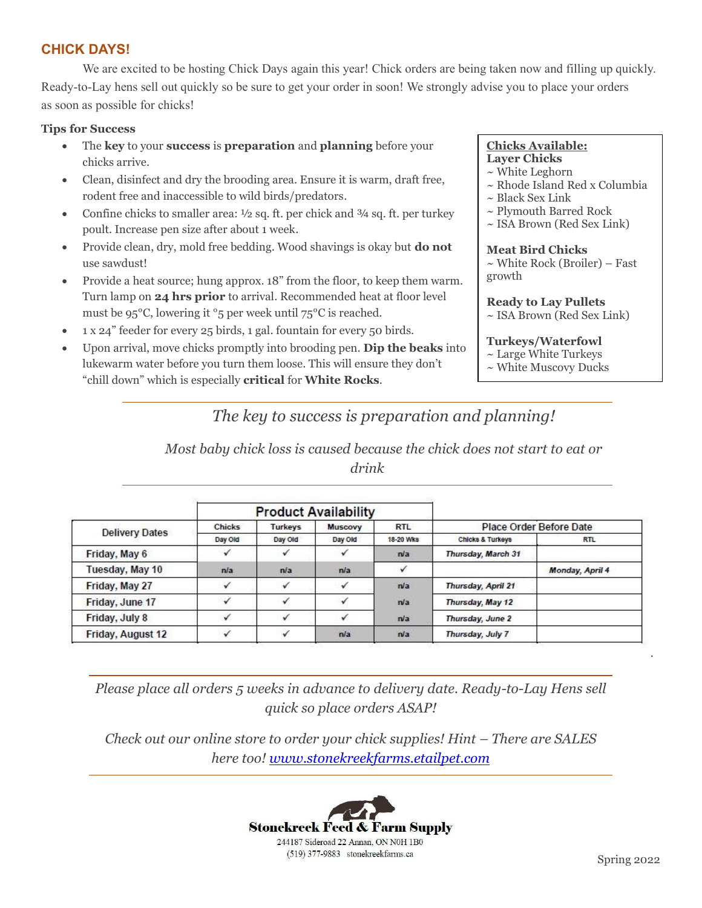## **CHICK DAYS!**

We are excited to be hosting Chick Days again this year! Chick orders are being taken now and filling up quickly. Ready-to-Lay hens sell out quickly so be sure to get your order in soon! We strongly advise you to place your orders as soon as possible for chicks!

#### **Tips for Success**

- The **key** to your **success** is **preparation** and **planning** before your chicks arrive.
- Clean, disinfect and dry the brooding area. Ensure it is warm, draft free, rodent free and inaccessible to wild birds/predators.
- Confine chicks to smaller area: ½ sq. ft. per chick and ¾ sq. ft. per turkey poult. Increase pen size after about 1 week.
- Provide clean, dry, mold free bedding. Wood shavings is okay but **do not**  use sawdust!
- Provide a heat source; hung approx. 18" from the floor, to keep them warm. Turn lamp on **24 hrs prior** to arrival. Recommended heat at floor level must be 95°C, lowering it °5 per week until 75°C is reached.
- 1 x 24" feeder for every 25 birds, 1 gal. fountain for every 50 birds.
- Upon arrival, move chicks promptly into brooding pen. **Dip the beaks** into lukewarm water before you turn them loose. This will ensure they don't "chill down" which is especially **critical** for **White Rocks**.

#### **Chicks Available: Layer Chicks**

- ~ White Leghorn
- ~ Rhode Island Red x Columbia
- $\sim$  Black Sex Link
- ~ Plymouth Barred Rock
- ~ ISA Brown (Red Sex Link)

**Meat Bird Chicks** ~ White Rock (Broiler) – Fast growth

#### **Ready to Lay Pullets** ~ ISA Brown (Red Sex Link)

## **Turkeys/Waterfowl**

- ~ Large White Turkeys
- ~ White Muscovy Ducks

# *The key to success is preparation and planning!*

*Most baby chick loss is caused because the chick does not start to eat or drink*

|                       | <b>Product Availability</b> |         |         |            |                             |                         |
|-----------------------|-----------------------------|---------|---------|------------|-----------------------------|-------------------------|
| <b>Delivery Dates</b> | <b>Chicks</b>               | Turkeys | Muscovy | <b>RTL</b> |                             | Place Order Before Date |
|                       | Day Old                     | Day Old | Day Old | 18-20 Wks  | <b>Chicks &amp; Turkeys</b> | <b>RTL</b>              |
| Friday, May 6         |                             |         |         | n/a        | Thursday, March 31          |                         |
| Tuesday, May 10       | n/a                         | n/a     | n/a     |            |                             | Monday, April 4         |
| Friday, May 27        |                             |         |         | n/a        | Thursday, April 21          |                         |
| Friday, June 17       | s                           |         |         | n/a        | Thursday, May 12            |                         |
| Friday, July 8        |                             |         |         | n/a        | Thursday, June 2            |                         |
| Friday, August 12     |                             |         | n/a     | n/a        | Thursday, July 7            |                         |

*Please place all orders 5 weeks in advance to delivery date. Ready-to-Lay Hens sell quick so place orders ASAP!*

*Check out our online store to order your chick supplies! Hint – There are SALES here too!<www.stonekreekfarms.etailpet.com>*



.